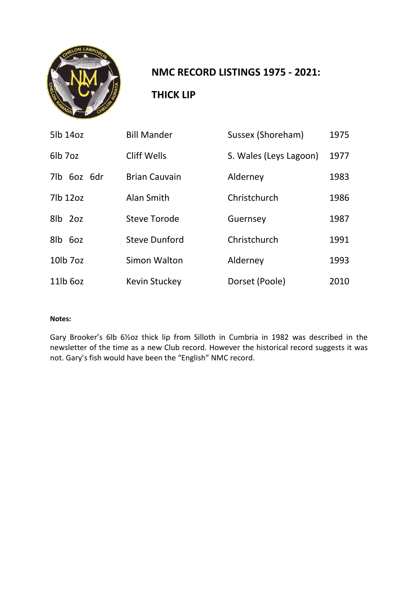

### **NMC RECORD LISTINGS 1975 - 2021:**

#### **THICK LIP**

| 5lb 14oz    | <b>Bill Mander</b>   | Sussex (Shoreham)      | 1975 |
|-------------|----------------------|------------------------|------|
| 6lb 7oz     | <b>Cliff Wells</b>   | S. Wales (Leys Lagoon) | 1977 |
| 7lb 6oz 6dr | <b>Brian Cauvain</b> | Alderney               | 1983 |
| 7lb 12oz    | Alan Smith           | Christchurch           | 1986 |
| 8lb 2oz     | <b>Steve Torode</b>  | Guernsey               | 1987 |
| 8lb 6oz     | <b>Steve Dunford</b> | Christchurch           | 1991 |
| 10lb 7oz    | Simon Walton         | Alderney               | 1993 |
| 11lb 6oz    | <b>Kevin Stuckey</b> | Dorset (Poole)         | 2010 |

#### **Notes:**

Gary Brooker's 6lb 6½oz thick lip from Silloth in Cumbria in 1982 was described in the newsletter of the time as a new Club record. However the historical record suggests it was not. Gary's fish would have been the "English" NMC record.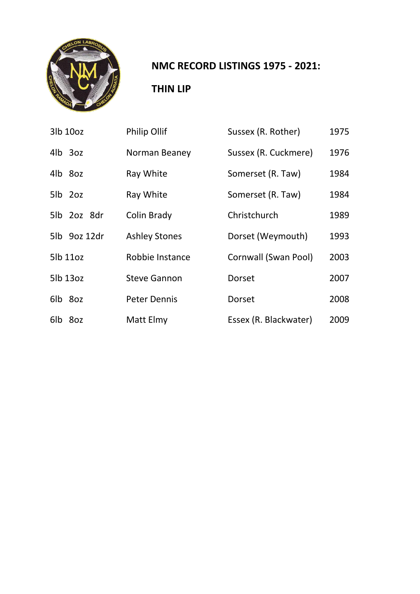

### **NMC RECORD LISTINGS 1975 - 2021:**

### **THIN LIP**

| 3lb 10oz     | <b>Philip Ollif</b>  | Sussex (R. Rother)    | 1975 |
|--------------|----------------------|-----------------------|------|
| 4lb 3oz      | Norman Beaney        | Sussex (R. Cuckmere)  | 1976 |
| 4lb 8oz      | Ray White            | Somerset (R. Taw)     | 1984 |
| 5lb 2oz      | Ray White            | Somerset (R. Taw)     | 1984 |
| 5lb 2oz 8dr  | Colin Brady          | Christchurch          | 1989 |
| 5lb 9oz 12dr | <b>Ashley Stones</b> | Dorset (Weymouth)     | 1993 |
| 5lb 11oz     | Robbie Instance      | Cornwall (Swan Pool)  | 2003 |
| 5lb 13oz     | <b>Steve Gannon</b>  | Dorset                | 2007 |
| 6lb 8oz      | <b>Peter Dennis</b>  | Dorset                | 2008 |
| 6lb 8oz      | Matt Elmy            | Essex (R. Blackwater) | 2009 |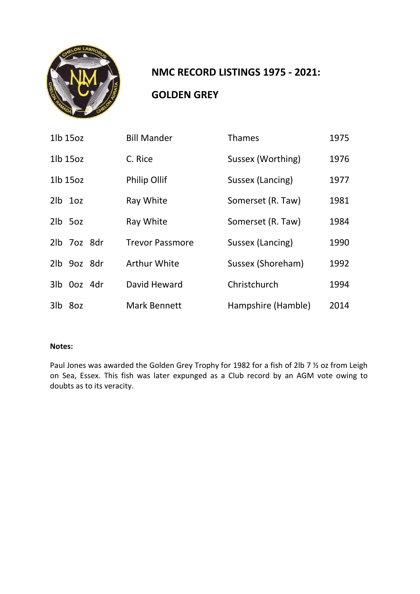

# **NMC RECORD LISTINGS 1975 - 2021: GOLDEN GREY**

| 1lb 15oz              | <b>Bill Mander</b>     | <b>Thames</b>      | 1975 |
|-----------------------|------------------------|--------------------|------|
| 1lb 15oz              | C. Rice                | Sussex (Worthing)  | 1976 |
| 1 <sub>l</sub> b 15oz | <b>Philip Ollif</b>    | Sussex (Lancing)   | 1977 |
| $2lb$ $1oz$           | Ray White              | Somerset (R. Taw)  | 1981 |
| 2lb 5oz               | Ray White              | Somerset (R. Taw)  | 1984 |
| 2lb 7oz 8dr           | <b>Trevor Passmore</b> | Sussex (Lancing)   | 1990 |
| 2lb 9oz 8dr           | <b>Arthur White</b>    | Sussex (Shoreham)  | 1992 |
| 3lb 0oz 4dr           | David Heward           | Christchurch       | 1994 |
| 3lb 8oz               | <b>Mark Bennett</b>    | Hampshire (Hamble) | 2014 |

#### **Notes:**

Paul Jones was awarded the Golden Grey Trophy for 1982 for a fish of 2lb 7 % oz from Leigh on Sea, Essex. This fish was later expunged as a Club record by an AGM vote owing to doubts as to its veracity.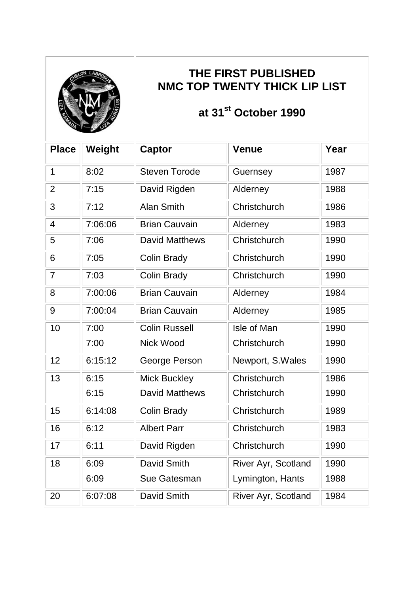

### **THE FIRST PUBLISHED NMC TOP TWENTY THICK LIP LIST**

# **at 31st October 1990**

| <b>Place</b>   | Weight  | Captor                | <b>Venue</b>        | Year |
|----------------|---------|-----------------------|---------------------|------|
| $\mathbf 1$    | 8:02    | <b>Steven Torode</b>  | Guernsey            | 1987 |
| $\overline{2}$ | 7:15    | David Rigden          | Alderney            | 1988 |
| 3              | 7:12    | <b>Alan Smith</b>     | Christchurch        | 1986 |
| 4              | 7:06:06 | <b>Brian Cauvain</b>  | Alderney            | 1983 |
| 5              | 7:06    | <b>David Matthews</b> | Christchurch        | 1990 |
| 6              | 7:05    | <b>Colin Brady</b>    | Christchurch        | 1990 |
| $\overline{7}$ | 7:03    | <b>Colin Brady</b>    | Christchurch        | 1990 |
| 8              | 7:00:06 | <b>Brian Cauvain</b>  | Alderney            | 1984 |
| 9              | 7:00:04 | <b>Brian Cauvain</b>  | Alderney            | 1985 |
| 10             | 7:00    | <b>Colin Russell</b>  | Isle of Man         | 1990 |
|                | 7:00    | <b>Nick Wood</b>      | Christchurch        | 1990 |
| 12             | 6:15:12 | George Person         | Newport, S.Wales    | 1990 |
| 13             | 6:15    | <b>Mick Buckley</b>   | Christchurch        | 1986 |
|                | 6:15    | <b>David Matthews</b> | Christchurch        | 1990 |
| 15             | 6:14:08 | <b>Colin Brady</b>    | Christchurch        | 1989 |
| 16             | 6:12    | <b>Albert Parr</b>    | Christchurch        | 1983 |
| 17             | 6:11    | David Rigden          | Christchurch        | 1990 |
| 18             | 6:09    | David Smith           | River Ayr, Scotland | 1990 |
|                | 6:09    | <b>Sue Gatesman</b>   | Lymington, Hants    | 1988 |
| 20             | 6:07:08 | <b>David Smith</b>    | River Ayr, Scotland | 1984 |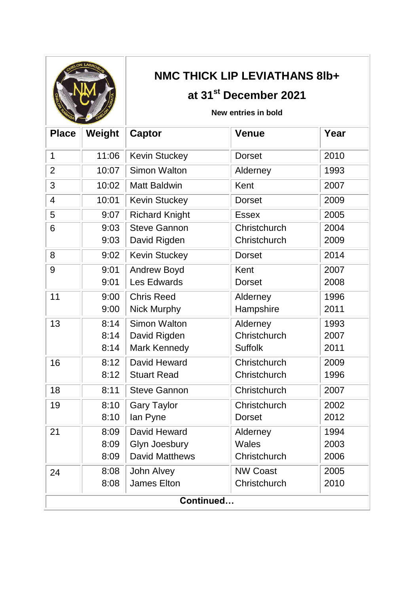| CHELON LABROSUS          |  |
|--------------------------|--|
|                          |  |
| CHRISTIAN ARME<br>RAMADA |  |
|                          |  |

# **NMC THICK LIP LEVIATHANS 8lb+**

## **at 31st December 2021**

#### **New entries in bold**

| <b>Place</b>   | Weight | <b>Captor</b>         | <b>Venue</b>    | Year |  |
|----------------|--------|-----------------------|-----------------|------|--|
| $\mathbf 1$    | 11:06  | <b>Kevin Stuckey</b>  | <b>Dorset</b>   | 2010 |  |
| $\overline{2}$ | 10:07  | <b>Simon Walton</b>   | Alderney        | 1993 |  |
| 3              | 10:02  | <b>Matt Baldwin</b>   | Kent            | 2007 |  |
| 4              | 10:01  | <b>Kevin Stuckey</b>  | <b>Dorset</b>   | 2009 |  |
| 5              | 9:07   | <b>Richard Knight</b> | <b>Essex</b>    | 2005 |  |
| 6              | 9:03   | <b>Steve Gannon</b>   | Christchurch    | 2004 |  |
|                | 9:03   | David Rigden          | Christchurch    | 2009 |  |
| 8              | 9:02   | <b>Kevin Stuckey</b>  | <b>Dorset</b>   | 2014 |  |
| 9              | 9:01   | <b>Andrew Boyd</b>    | Kent            | 2007 |  |
|                | 9:01   | Les Edwards           | <b>Dorset</b>   | 2008 |  |
| 11             | 9:00   | <b>Chris Reed</b>     | Alderney        | 1996 |  |
|                | 9:00   | Nick Murphy           | Hampshire       | 2011 |  |
| 13             | 8:14   | <b>Simon Walton</b>   | Alderney        | 1993 |  |
|                | 8:14   | David Rigden          | Christchurch    | 2007 |  |
|                | 8:14   | Mark Kennedy          | <b>Suffolk</b>  | 2011 |  |
| 16             | 8:12   | David Heward          | Christchurch    | 2009 |  |
|                | 8:12   | <b>Stuart Read</b>    | Christchurch    | 1996 |  |
| 18             | 8:11   | <b>Steve Gannon</b>   | Christchurch    | 2007 |  |
| 19             | 8:10   | <b>Gary Taylor</b>    | Christchurch    | 2002 |  |
|                | 8:10   | lan Pyne              | <b>Dorset</b>   | 2012 |  |
| 21             | 8:09   | David Heward          | Alderney        | 1994 |  |
|                | 8:09   | Glyn Joesbury         | <b>Wales</b>    | 2003 |  |
|                | 8:09   | <b>David Matthews</b> | Christchurch    | 2006 |  |
| 24             | 8:08   | John Alvey            | <b>NW Coast</b> | 2005 |  |
|                | 8:08   | <b>James Elton</b>    | Christchurch    | 2010 |  |
| Continued      |        |                       |                 |      |  |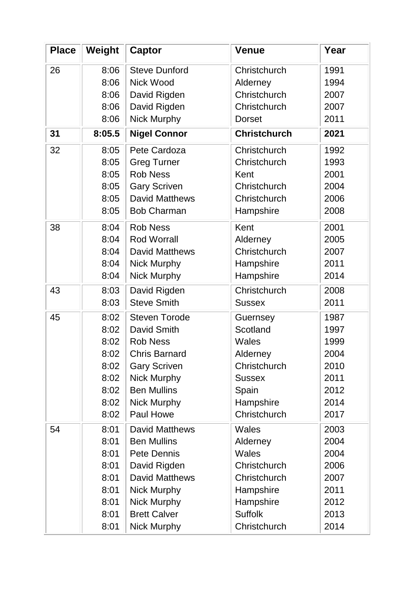| <b>Place</b> | Weight | <b>Captor</b>         | <b>Venue</b>        | Year |
|--------------|--------|-----------------------|---------------------|------|
| 26           | 8:06   | <b>Steve Dunford</b>  | Christchurch        | 1991 |
|              | 8:06   | <b>Nick Wood</b>      | Alderney            | 1994 |
|              | 8:06   | David Rigden          | Christchurch        | 2007 |
|              | 8:06   | David Rigden          | Christchurch        | 2007 |
|              | 8:06   | Nick Murphy           | <b>Dorset</b>       | 2011 |
| 31           | 8:05.5 | <b>Nigel Connor</b>   | <b>Christchurch</b> | 2021 |
| 32           | 8:05   | Pete Cardoza          | Christchurch        | 1992 |
|              | 8:05   | <b>Greg Turner</b>    | Christchurch        | 1993 |
|              | 8:05   | <b>Rob Ness</b>       | Kent                | 2001 |
|              | 8:05   | <b>Gary Scriven</b>   | Christchurch        | 2004 |
|              | 8:05   | <b>David Matthews</b> | Christchurch        | 2006 |
|              | 8:05   | <b>Bob Charman</b>    | Hampshire           | 2008 |
| 38           | 8:04   | <b>Rob Ness</b>       | Kent                | 2001 |
|              | 8:04   | <b>Rod Worrall</b>    | Alderney            | 2005 |
|              | 8:04   | <b>David Matthews</b> | Christchurch        | 2007 |
|              | 8:04   | <b>Nick Murphy</b>    | Hampshire           | 2011 |
|              | 8:04   | Nick Murphy           | Hampshire           | 2014 |
| 43           | 8:03   | David Rigden          | Christchurch        | 2008 |
|              | 8:03   | <b>Steve Smith</b>    | <b>Sussex</b>       | 2011 |
| 45           | 8:02   | <b>Steven Torode</b>  | Guernsey            | 1987 |
|              | 8:02   | <b>David Smith</b>    | Scotland            | 1997 |
|              | 8:02   | <b>Rob Ness</b>       | <b>Wales</b>        | 1999 |
|              | 8:02   | <b>Chris Barnard</b>  | Alderney            | 2004 |
|              | 8:02   | <b>Gary Scriven</b>   | Christchurch        | 2010 |
|              | 8:02   | <b>Nick Murphy</b>    | <b>Sussex</b>       | 2011 |
|              | 8:02   | <b>Ben Mullins</b>    | Spain               | 2012 |
|              | 8:02   | <b>Nick Murphy</b>    | Hampshire           | 2014 |
|              | 8:02   | Paul Howe             | Christchurch        | 2017 |
| 54           | 8:01   | <b>David Matthews</b> | <b>Wales</b>        | 2003 |
|              | 8:01   | <b>Ben Mullins</b>    | Alderney            | 2004 |
|              | 8:01   | Pete Dennis           | Wales               | 2004 |
|              | 8:01   | David Rigden          | Christchurch        | 2006 |
|              | 8:01   | <b>David Matthews</b> | Christchurch        | 2007 |
|              | 8:01   | Nick Murphy           | Hampshire           | 2011 |
|              | 8:01   | Nick Murphy           | Hampshire           | 2012 |
|              | 8:01   | <b>Brett Calver</b>   | <b>Suffolk</b>      | 2013 |
|              | 8:01   | <b>Nick Murphy</b>    | Christchurch        | 2014 |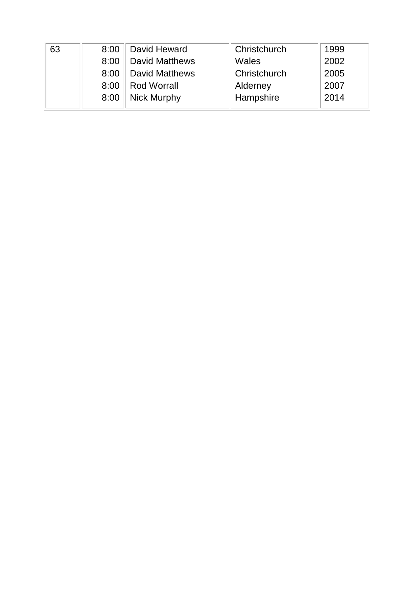| 63 | 8:00 | David Heward          | Christchurch | 1999 |
|----|------|-----------------------|--------------|------|
|    | 8:00 | <b>David Matthews</b> | Wales        | 2002 |
|    | 8:00 | <b>David Matthews</b> | Christchurch | 2005 |
|    | 8:00 | <b>Rod Worrall</b>    | Alderney     | 2007 |
|    | 8:00 | <b>Nick Murphy</b>    | Hampshire    | 2014 |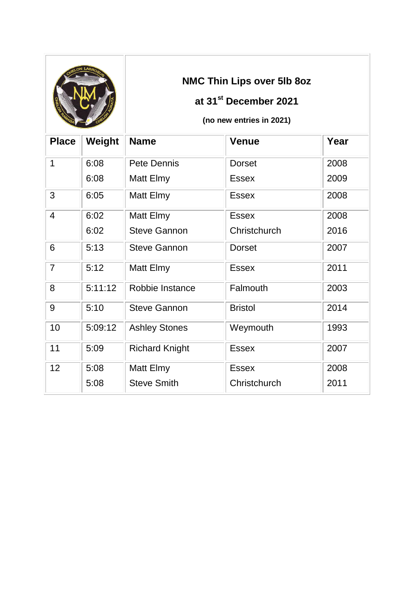|                |         |                       | NMC Thin Lips over 5lb 8oz<br>at 31 <sup>st</sup> December 2021<br>(no new entries in 2021) |      |
|----------------|---------|-----------------------|---------------------------------------------------------------------------------------------|------|
| <b>Place</b>   | Weight  | <b>Name</b>           | <b>Venue</b>                                                                                | Year |
| $\mathbf 1$    | 6:08    | Pete Dennis           | <b>Dorset</b>                                                                               | 2008 |
|                | 6:08    | Matt Elmy             | <b>Essex</b>                                                                                | 2009 |
| 3              | 6:05    | Matt Elmy             | <b>Essex</b>                                                                                | 2008 |
| $\overline{4}$ | 6:02    | Matt Elmy             | <b>Essex</b>                                                                                | 2008 |
|                | 6:02    | <b>Steve Gannon</b>   | Christchurch                                                                                | 2016 |
| 6              | 5:13    | <b>Steve Gannon</b>   | <b>Dorset</b>                                                                               | 2007 |
| $\overline{7}$ | 5:12    | Matt Elmy             | <b>Essex</b>                                                                                | 2011 |
| 8              | 5:11:12 | Robbie Instance       | Falmouth                                                                                    | 2003 |
| 9              | 5:10    | <b>Steve Gannon</b>   | <b>Bristol</b>                                                                              | 2014 |
| 10             | 5:09:12 | <b>Ashley Stones</b>  | Weymouth                                                                                    | 1993 |
| 11             | 5:09    | <b>Richard Knight</b> | <b>Essex</b>                                                                                | 2007 |
| 12             | 5:08    | Matt Elmy             | <b>Essex</b>                                                                                | 2008 |
|                | 5:08    | <b>Steve Smith</b>    | Christchurch                                                                                | 2011 |